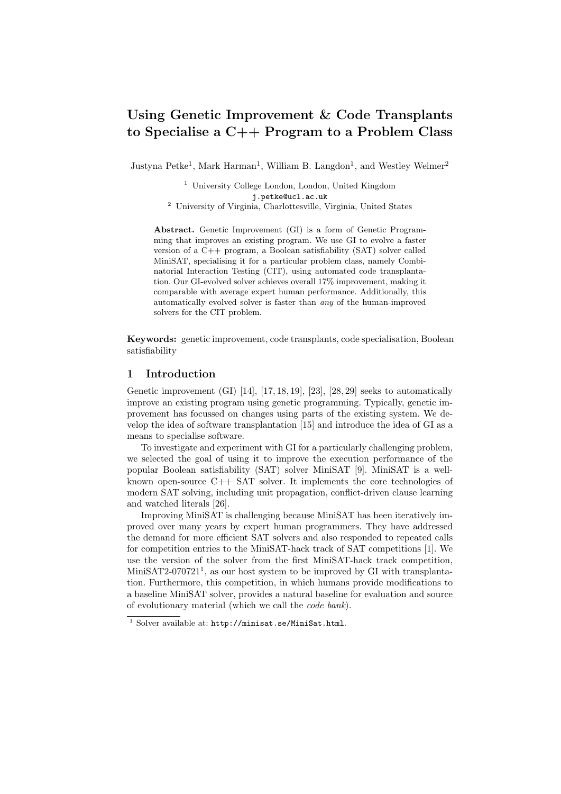# Using Genetic Improvement & Code Transplants to Specialise a  $C_{++}$  Program to a Problem Class

Justyna Petke<sup>1</sup>, Mark Harman<sup>1</sup>, William B. Langdon<sup>1</sup>, and Westley Weimer<sup>2</sup>

<sup>1</sup> University College London, London, United Kingdom j.petke@ucl.ac.uk

<sup>2</sup> University of Virginia, Charlottesville, Virginia, United States

Abstract. Genetic Improvement (GI) is a form of Genetic Programming that improves an existing program. We use GI to evolve a faster version of a C++ program, a Boolean satisfiability (SAT) solver called MiniSAT, specialising it for a particular problem class, namely Combinatorial Interaction Testing (CIT), using automated code transplantation. Our GI-evolved solver achieves overall 17% improvement, making it comparable with average expert human performance. Additionally, this automatically evolved solver is faster than any of the human-improved solvers for the CIT problem.

Keywords: genetic improvement, code transplants, code specialisation, Boolean satisfiability

## 1 Introduction

Genetic improvement (GI)  $[14]$ ,  $[17, 18, 19]$ ,  $[23]$ ,  $[28, 29]$  seeks to automatically improve an existing program using genetic programming. Typically, genetic improvement has focussed on changes using parts of the existing system. We develop the idea of software transplantation [15] and introduce the idea of GI as a means to specialise software.

To investigate and experiment with GI for a particularly challenging problem, we selected the goal of using it to improve the execution performance of the popular Boolean satisfiability (SAT) solver MiniSAT [9]. MiniSAT is a wellknown open-source C++ SAT solver. It implements the core technologies of modern SAT solving, including unit propagation, conflict-driven clause learning and watched literals [26].

Improving MiniSAT is challenging because MiniSAT has been iteratively improved over many years by expert human programmers. They have addressed the demand for more efficient SAT solvers and also responded to repeated calls for competition entries to the MiniSAT-hack track of SAT competitions [1]. We use the version of the solver from the first MiniSAT-hack track competition, MiniSAT2-070721<sup>1</sup>, as our host system to be improved by GI with transplantation. Furthermore, this competition, in which humans provide modifications to a baseline MiniSAT solver, provides a natural baseline for evaluation and source of evolutionary material (which we call the code bank).

 $1$  Solver available at: http://minisat.se/MiniSat.html.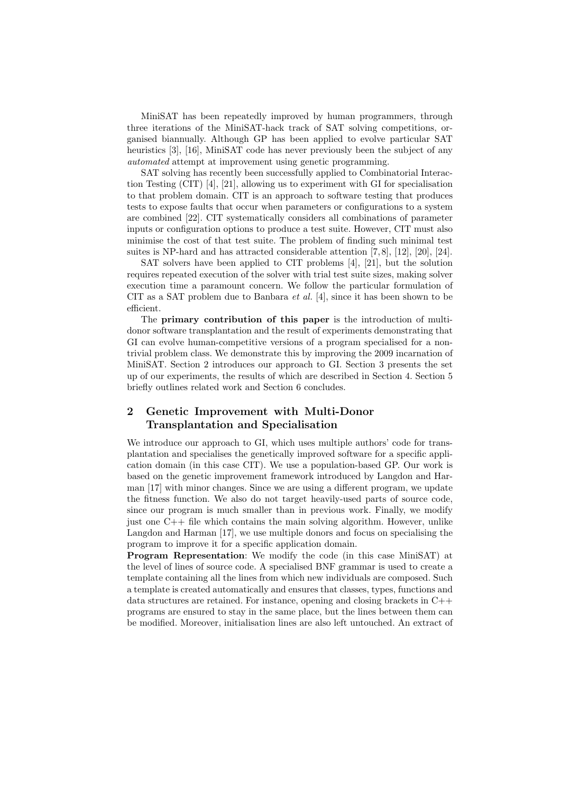MiniSAT has been repeatedly improved by human programmers, through three iterations of the MiniSAT-hack track of SAT solving competitions, organised biannually. Although GP has been applied to evolve particular SAT heuristics [3], [16], MiniSAT code has never previously been the subject of any automated attempt at improvement using genetic programming.

SAT solving has recently been successfully applied to Combinatorial Interaction Testing (CIT) [4], [21], allowing us to experiment with GI for specialisation to that problem domain. CIT is an approach to software testing that produces tests to expose faults that occur when parameters or configurations to a system are combined [22]. CIT systematically considers all combinations of parameter inputs or configuration options to produce a test suite. However, CIT must also minimise the cost of that test suite. The problem of finding such minimal test suites is NP-hard and has attracted considerable attention [7, 8], [12], [20], [24].

SAT solvers have been applied to CIT problems [4], [21], but the solution requires repeated execution of the solver with trial test suite sizes, making solver execution time a paramount concern. We follow the particular formulation of CIT as a SAT problem due to Banbara *et al.* [4], since it has been shown to be efficient.

The primary contribution of this paper is the introduction of multidonor software transplantation and the result of experiments demonstrating that GI can evolve human-competitive versions of a program specialised for a nontrivial problem class. We demonstrate this by improving the 2009 incarnation of MiniSAT. Section 2 introduces our approach to GI. Section 3 presents the set up of our experiments, the results of which are described in Section 4. Section 5 briefly outlines related work and Section 6 concludes.

# 2 Genetic Improvement with Multi-Donor Transplantation and Specialisation

We introduce our approach to GI, which uses multiple authors' code for transplantation and specialises the genetically improved software for a specific application domain (in this case CIT). We use a population-based GP. Our work is based on the genetic improvement framework introduced by Langdon and Harman [17] with minor changes. Since we are using a different program, we update the fitness function. We also do not target heavily-used parts of source code, since our program is much smaller than in previous work. Finally, we modify just one  $C_{++}$  file which contains the main solving algorithm. However, unlike Langdon and Harman [17], we use multiple donors and focus on specialising the program to improve it for a specific application domain.

Program Representation: We modify the code (in this case MiniSAT) at the level of lines of source code. A specialised BNF grammar is used to create a template containing all the lines from which new individuals are composed. Such a template is created automatically and ensures that classes, types, functions and data structures are retained. For instance, opening and closing brackets in  $C++$ programs are ensured to stay in the same place, but the lines between them can be modified. Moreover, initialisation lines are also left untouched. An extract of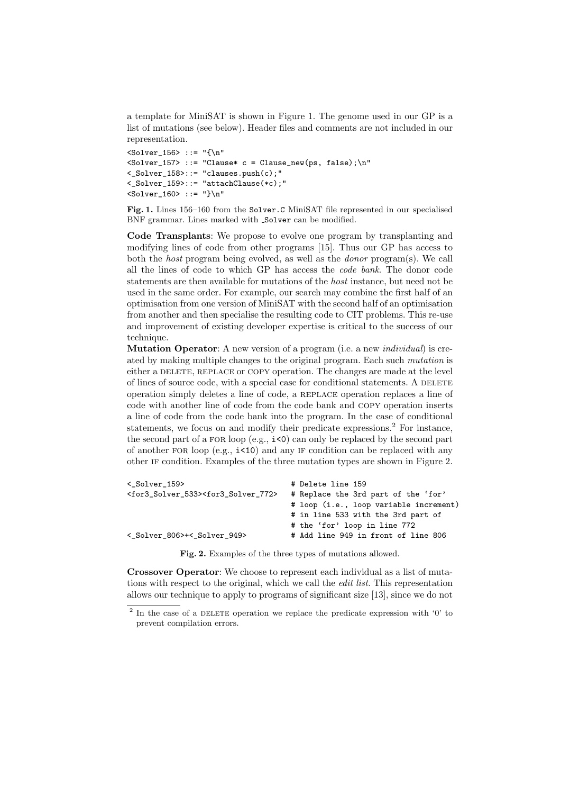a template for MiniSAT is shown in Figure 1. The genome used in our GP is a list of mutations (see below). Header files and comments are not included in our representation.

```
<Solver_156> ::= "{\n"
\text{Solver}\_157> ::= "Clause* c = Clause_new(ps, false);\n"
<_Solver_158>::= "clauses.push(c);"
<_Solver_159>::= "attachClause(*c);"
Solver 160> ::= "}\n"
```
Fig. 1. Lines 156–160 from the Solver.C MiniSAT file represented in our specialised BNF grammar. Lines marked with Solver can be modified.

Code Transplants: We propose to evolve one program by transplanting and modifying lines of code from other programs [15]. Thus our GP has access to both the host program being evolved, as well as the donor program(s). We call all the lines of code to which GP has access the code bank. The donor code statements are then available for mutations of the *host* instance, but need not be used in the same order. For example, our search may combine the first half of an optimisation from one version of MiniSAT with the second half of an optimisation from another and then specialise the resulting code to CIT problems. This re-use and improvement of existing developer expertise is critical to the success of our technique.

**Mutation Operator:** A new version of a program (i.e. a new *individual*) is created by making multiple changes to the original program. Each such mutation is either a DELETE, REPLACE or COPY operation. The changes are made at the level of lines of source code, with a special case for conditional statements. A DELETE operation simply deletes a line of code, a replace operation replaces a line of code with another line of code from the code bank and copy operation inserts a line of code from the code bank into the program. In the case of conditional statements, we focus on and modify their predicate expressions.<sup>2</sup> For instance, the second part of a FOR loop (e.g.,  $\textbf{i} < 0$ ) can only be replaced by the second part of another FOR loop (e.g.,  $i \leq 10$ ) and any IF condition can be replaced with any other if condition. Examples of the three mutation types are shown in Figure 2.

| $<$ Solver_159>                                                        | # Delete line 159                      |
|------------------------------------------------------------------------|----------------------------------------|
| <for3_solver_533><for3_solver_772></for3_solver_772></for3_solver_533> | # Replace the 3rd part of the 'for'    |
|                                                                        | # loop (i.e., loop variable increment) |
|                                                                        | # in line 533 with the 3rd part of     |
|                                                                        | # the 'for' loop in line 772           |
| < Solver 806>+< Solver 949>                                            | # Add line 949 in front of line 806    |

Fig. 2. Examples of the three types of mutations allowed.

Crossover Operator: We choose to represent each individual as a list of mutations with respect to the original, which we call the edit list. This representation allows our technique to apply to programs of significant size [13], since we do not

 $2$  In the case of a DELETE operation we replace the predicate expression with '0' to prevent compilation errors.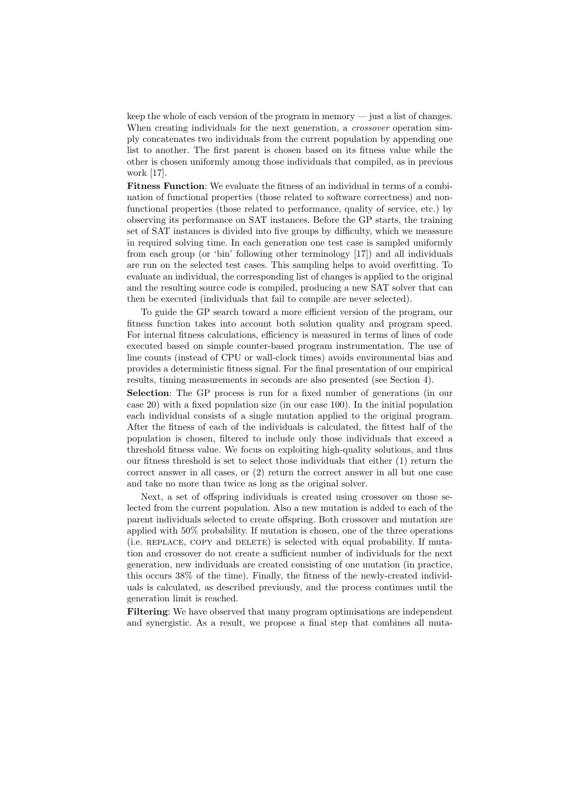keep the whole of each version of the program in memory — just a list of changes. When creating individuals for the next generation, a *crossover* operation simply concatenates two individuals from the current population by appending one list to another. The first parent is chosen based on its fitness value while the other is chosen uniformly among those individuals that compiled, as in previous work [17].

Fitness Function: We evaluate the fitness of an individual in terms of a combination of functional properties (those related to software correctness) and nonfunctional properties (those related to performance, quality of service, etc.) by observing its performance on SAT instances. Before the GP starts, the training set of SAT instances is divided into five groups by difficulty, which we meassure in required solving time. In each generation one test case is sampled uniformly from each group (or 'bin' following other terminology [17]) and all individuals are run on the selected test cases. This sampling helps to avoid overfitting. To evaluate an individual, the corresponding list of changes is applied to the original and the resulting source code is compiled, producing a new SAT solver that can then be executed (individuals that fail to compile are never selected).

To guide the GP search toward a more efficient version of the program, our fitness function takes into account both solution quality and program speed. For internal fitness calculations, efficiency is measured in terms of lines of code executed based on simple counter-based program instrumentation. The use of line counts (instead of CPU or wall-clock times) avoids environmental bias and provides a deterministic fitness signal. For the final presentation of our empirical results, timing measurements in seconds are also presented (see Section 4).

Selection: The GP process is run for a fixed number of generations (in our case 20) with a fixed population size (in our case 100). In the initial population each individual consists of a single mutation applied to the original program. After the fitness of each of the individuals is calculated, the fittest half of the population is chosen, filtered to include only those individuals that exceed a threshold fitness value. We focus on exploiting high-quality solutions, and thus our fitness threshold is set to select those individuals that either (1) return the correct answer in all cases, or (2) return the correct answer in all but one case and take no more than twice as long as the original solver.

Next, a set of offspring individuals is created using crossover on those selected from the current population. Also a new mutation is added to each of the parent individuals selected to create offspring. Both crossover and mutation are applied with 50% probability. If mutation is chosen, one of the three operations (i.e. REPLACE, COPY and DELETE) is selected with equal probability. If mutation and crossover do not create a sufficient number of individuals for the next generation, new individuals are created consisting of one mutation (in practice, this occurs 38% of the time). Finally, the fitness of the newly-created individuals is calculated, as described previously, and the process continues until the generation limit is reached.

Filtering: We have observed that many program optimisations are independent and synergistic. As a result, we propose a final step that combines all muta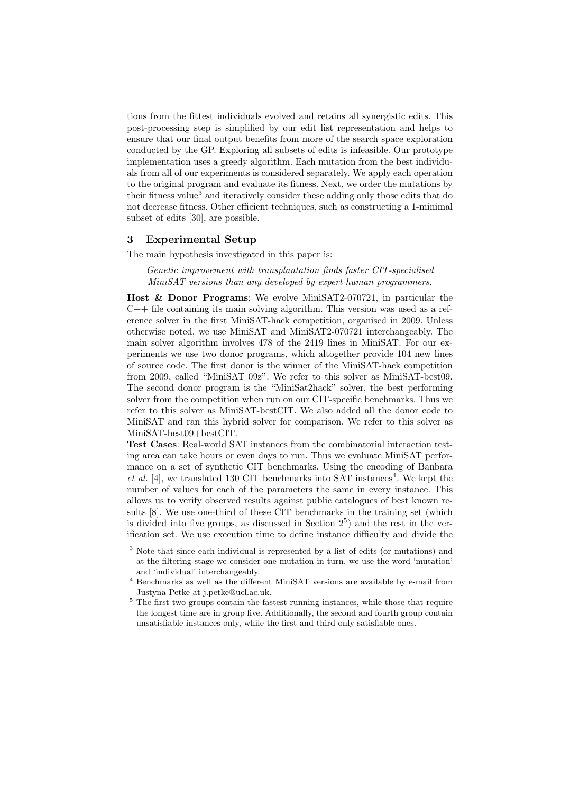tions from the fittest individuals evolved and retains all synergistic edits. This post-processing step is simplified by our edit list representation and helps to ensure that our final output benefits from more of the search space exploration conducted by the GP. Exploring all subsets of edits is infeasible. Our prototype implementation uses a greedy algorithm. Each mutation from the best individuals from all of our experiments is considered separately. We apply each operation to the original program and evaluate its fitness. Next, we order the mutations by their fitness value<sup>3</sup> and iteratively consider these adding only those edits that do not decrease fitness. Other efficient techniques, such as constructing a 1-minimal subset of edits [30], are possible.

#### 3 Experimental Setup

The main hypothesis investigated in this paper is:

Genetic improvement with transplantation finds faster CIT-specialised MiniSAT versions than any developed by expert human programmers.

Host & Donor Programs: We evolve MiniSAT2-070721, in particular the  $C++$  file containing its main solving algorithm. This version was used as a reference solver in the first MiniSAT-hack competition, organised in 2009. Unless otherwise noted, we use MiniSAT and MiniSAT2-070721 interchangeably. The main solver algorithm involves 478 of the 2419 lines in MiniSAT. For our experiments we use two donor programs, which altogether provide 104 new lines of source code. The first donor is the winner of the MiniSAT-hack competition from 2009, called "MiniSAT 09z". We refer to this solver as MiniSAT-best09. The second donor program is the "MiniSat2hack" solver, the best performing solver from the competition when run on our CIT-specific benchmarks. Thus we refer to this solver as MiniSAT-bestCIT. We also added all the donor code to MiniSAT and ran this hybrid solver for comparison. We refer to this solver as MiniSAT-best09+bestCIT.

Test Cases: Real-world SAT instances from the combinatorial interaction testing area can take hours or even days to run. Thus we evaluate MiniSAT performance on a set of synthetic CIT benchmarks. Using the encoding of Banbara et al. [4], we translated 130 CIT benchmarks into SAT instances<sup>4</sup>. We kept the number of values for each of the parameters the same in every instance. This allows us to verify observed results against public catalogues of best known results [8]. We use one-third of these CIT benchmarks in the training set (which is divided into five groups, as discussed in Section  $2<sup>5</sup>$  and the rest in the verification set. We use execution time to define instance difficulty and divide the

<sup>3</sup> Note that since each individual is represented by a list of edits (or mutations) and at the filtering stage we consider one mutation in turn, we use the word 'mutation' and 'individual' interchangeably.

<sup>4</sup> Benchmarks as well as the different MiniSAT versions are available by e-mail from Justyna Petke at j.petke@ucl.ac.uk.

<sup>&</sup>lt;sup>5</sup> The first two groups contain the fastest running instances, while those that require the longest time are in group five. Additionally, the second and fourth group contain unsatisfiable instances only, while the first and third only satisfiable ones.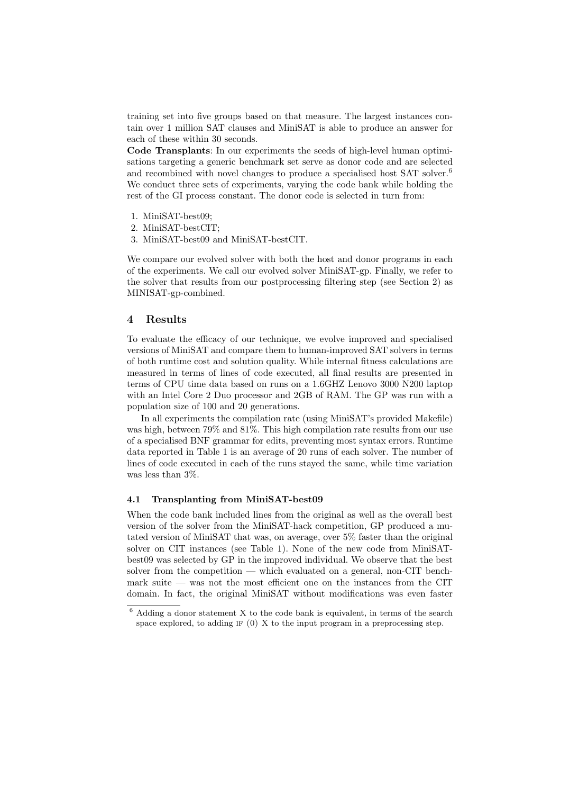training set into five groups based on that measure. The largest instances contain over 1 million SAT clauses and MiniSAT is able to produce an answer for each of these within 30 seconds.

Code Transplants: In our experiments the seeds of high-level human optimisations targeting a generic benchmark set serve as donor code and are selected and recombined with novel changes to produce a specialised host SAT solver.<sup>6</sup> We conduct three sets of experiments, varying the code bank while holding the rest of the GI process constant. The donor code is selected in turn from:

- 1. MiniSAT-best09;
- 2. MiniSAT-bestCIT;
- 3. MiniSAT-best09 and MiniSAT-bestCIT.

We compare our evolved solver with both the host and donor programs in each of the experiments. We call our evolved solver MiniSAT-gp. Finally, we refer to the solver that results from our postprocessing filtering step (see Section 2) as MINISAT-gp-combined.

# 4 Results

To evaluate the efficacy of our technique, we evolve improved and specialised versions of MiniSAT and compare them to human-improved SAT solvers in terms of both runtime cost and solution quality. While internal fitness calculations are measured in terms of lines of code executed, all final results are presented in terms of CPU time data based on runs on a 1.6GHZ Lenovo 3000 N200 laptop with an Intel Core 2 Duo processor and 2GB of RAM. The GP was run with a population size of 100 and 20 generations.

In all experiments the compilation rate (using MiniSAT's provided Makefile) was high, between 79% and 81%. This high compilation rate results from our use of a specialised BNF grammar for edits, preventing most syntax errors. Runtime data reported in Table 1 is an average of 20 runs of each solver. The number of lines of code executed in each of the runs stayed the same, while time variation was less than 3%.

#### 4.1 Transplanting from MiniSAT-best09

When the code bank included lines from the original as well as the overall best version of the solver from the MiniSAT-hack competition, GP produced a mutated version of MiniSAT that was, on average, over 5% faster than the original solver on CIT instances (see Table 1). None of the new code from MiniSATbest09 was selected by GP in the improved individual. We observe that the best solver from the competition — which evaluated on a general, non-CIT benchmark suite  $-$  was not the most efficient one on the instances from the CIT domain. In fact, the original MiniSAT without modifications was even faster

 $6$  Adding a donor statement X to the code bank is equivalent, in terms of the search space explored, to adding  $IF(0)$  X to the input program in a preprocessing step.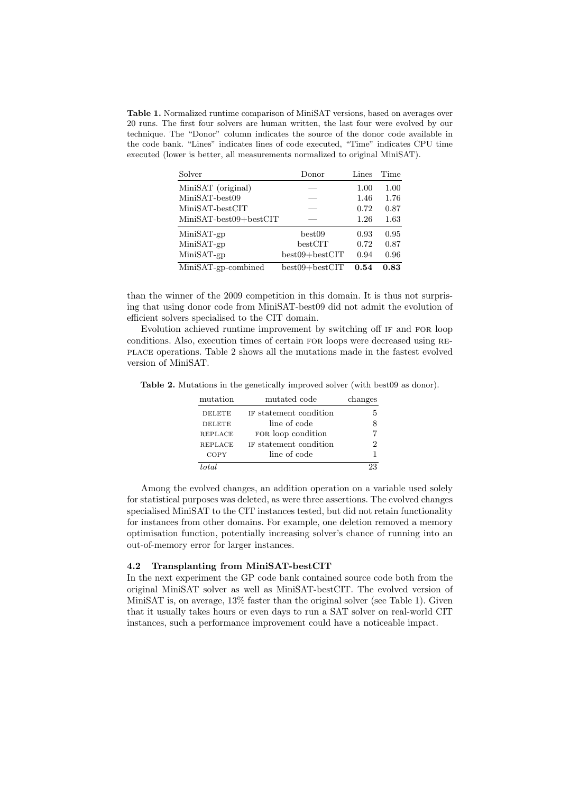Table 1. Normalized runtime comparison of MiniSAT versions, based on averages over 20 runs. The first four solvers are human written, the last four were evolved by our technique. The "Donor" column indicates the source of the donor code available in the code bank. "Lines" indicates lines of code executed, "Time" indicates CPU time executed (lower is better, all measurements normalized to original MiniSAT).

| Solver                     | Donor              | Lines | Time |
|----------------------------|--------------------|-------|------|
| MiniSAT (original)         |                    | 1.00  | 1.00 |
| MiniSAT-best09             |                    | 1.46  | 1.76 |
| MiniSAT-bestCIT            |                    | 0.72  | 0.87 |
| $MinISAT-best09 + bestCIT$ |                    | 1.26  | 1.63 |
| $MinISAT-gp$               | best09             | 0.93  | 0.95 |
| $MinISAT-gp$               | bestCIT            | 0.72  | 0.87 |
| $MinISAT-gp$               | $best09 + bestCIT$ | 0.94  | 0.96 |
| MiniSAT-gp-combined        | $best09 + bestCIT$ | 0.54  | 0.83 |

than the winner of the 2009 competition in this domain. It is thus not surprising that using donor code from MiniSAT-best09 did not admit the evolution of efficient solvers specialised to the CIT domain.

Evolution achieved runtime improvement by switching off if and for loop conditions. Also, execution times of certain for loops were decreased using replace operations. Table 2 shows all the mutations made in the fastest evolved version of MiniSAT.

Table 2. Mutations in the genetically improved solver (with best09 as donor).

| mutation       | mutated code           | changes |
|----------------|------------------------|---------|
| <b>DELETE</b>  | IF statement condition | 5       |
| <b>DELETE</b>  | line of code           |         |
| <b>REPLACE</b> | FOR loop condition     |         |
| <b>REPLACE</b> | IF statement condition |         |
| COPY           | line of code           |         |
| total          |                        |         |

Among the evolved changes, an addition operation on a variable used solely for statistical purposes was deleted, as were three assertions. The evolved changes specialised MiniSAT to the CIT instances tested, but did not retain functionality for instances from other domains. For example, one deletion removed a memory optimisation function, potentially increasing solver's chance of running into an out-of-memory error for larger instances.

#### 4.2 Transplanting from MiniSAT-bestCIT

In the next experiment the GP code bank contained source code both from the original MiniSAT solver as well as MiniSAT-bestCIT. The evolved version of MiniSAT is, on average, 13% faster than the original solver (see Table 1). Given that it usually takes hours or even days to run a SAT solver on real-world CIT instances, such a performance improvement could have a noticeable impact.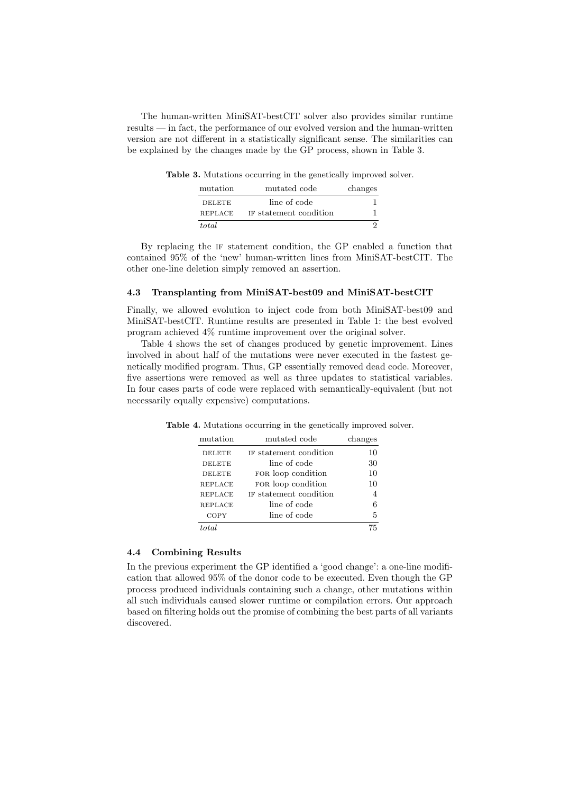The human-written MiniSAT-bestCIT solver also provides similar runtime results — in fact, the performance of our evolved version and the human-written version are not different in a statistically significant sense. The similarities can be explained by the changes made by the GP process, shown in Table 3.

Table 3. Mutations occurring in the genetically improved solver.

| mutation       | mutated code           | changes |
|----------------|------------------------|---------|
| <b>DELETE</b>  | line of code           |         |
| <b>REPLACE</b> | IF statement condition |         |
| total          |                        | 2       |

By replacing the if statement condition, the GP enabled a function that contained 95% of the 'new' human-written lines from MiniSAT-bestCIT. The other one-line deletion simply removed an assertion.

#### 4.3 Transplanting from MiniSAT-best09 and MiniSAT-bestCIT

Finally, we allowed evolution to inject code from both MiniSAT-best09 and MiniSAT-bestCIT. Runtime results are presented in Table 1: the best evolved program achieved 4% runtime improvement over the original solver.

Table 4 shows the set of changes produced by genetic improvement. Lines involved in about half of the mutations were never executed in the fastest genetically modified program. Thus, GP essentially removed dead code. Moreover, five assertions were removed as well as three updates to statistical variables. In four cases parts of code were replaced with semantically-equivalent (but not necessarily equally expensive) computations.

| mutation       | mutated code           | changes |
|----------------|------------------------|---------|
| DELETE         | IF statement condition | 10      |
| <b>DELETE</b>  | line of code           | 30      |
| <b>DELETE</b>  | FOR loop condition     | 10      |
| <b>REPLACE</b> | FOR loop condition     | 10      |
| <b>REPLACE</b> | IF statement condition | 4       |
| <b>REPLACE</b> | line of code           | 6       |
| COPY           | line of code           | 5       |
|                |                        | 75      |

Table 4. Mutations occurring in the genetically improved solver.

#### 4.4 Combining Results

In the previous experiment the GP identified a 'good change': a one-line modification that allowed 95% of the donor code to be executed. Even though the GP process produced individuals containing such a change, other mutations within all such individuals caused slower runtime or compilation errors. Our approach based on filtering holds out the promise of combining the best parts of all variants discovered.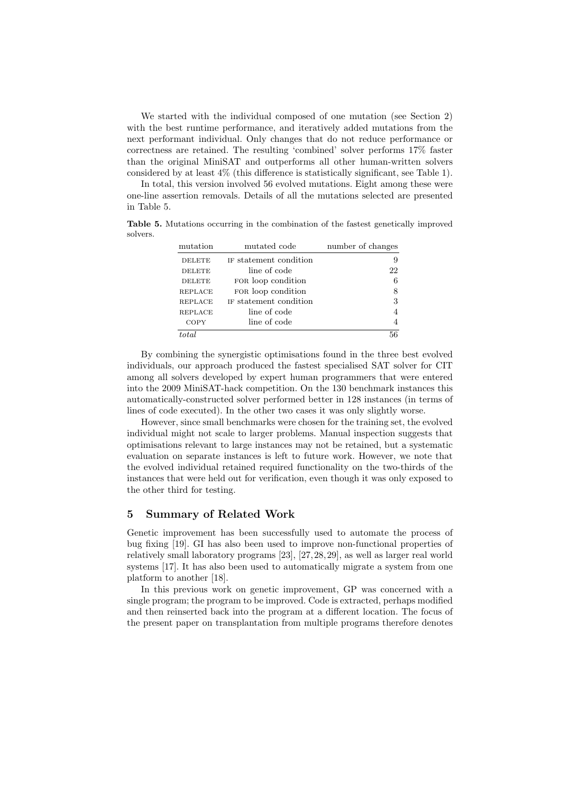We started with the individual composed of one mutation (see Section 2) with the best runtime performance, and iteratively added mutations from the next performant individual. Only changes that do not reduce performance or correctness are retained. The resulting 'combined' solver performs 17% faster than the original MiniSAT and outperforms all other human-written solvers considered by at least 4% (this difference is statistically significant, see Table 1).

In total, this version involved 56 evolved mutations. Eight among these were one-line assertion removals. Details of all the mutations selected are presented in Table 5.

Table 5. Mutations occurring in the combination of the fastest genetically improved solvers.

| mutation       | mutated code           | number of changes |
|----------------|------------------------|-------------------|
| <b>DELETE</b>  | IF statement condition | 9                 |
| <b>DELETE</b>  | line of code           | 22                |
| <b>DELETE</b>  | FOR loop condition     | 6                 |
| REPLACE        | FOR loop condition     | 8                 |
| REPLACE        | IF statement condition | 3                 |
| <b>REPLACE</b> | line of code           | 4                 |
| COPY           | line of code           | 4                 |
| total          |                        |                   |

By combining the synergistic optimisations found in the three best evolved individuals, our approach produced the fastest specialised SAT solver for CIT among all solvers developed by expert human programmers that were entered into the 2009 MiniSAT-hack competition. On the 130 benchmark instances this automatically-constructed solver performed better in 128 instances (in terms of lines of code executed). In the other two cases it was only slightly worse.

However, since small benchmarks were chosen for the training set, the evolved individual might not scale to larger problems. Manual inspection suggests that optimisations relevant to large instances may not be retained, but a systematic evaluation on separate instances is left to future work. However, we note that the evolved individual retained required functionality on the two-thirds of the instances that were held out for verification, even though it was only exposed to the other third for testing.

### 5 Summary of Related Work

Genetic improvement has been successfully used to automate the process of bug fixing [19]. GI has also been used to improve non-functional properties of relatively small laboratory programs [23], [27, 28, 29], as well as larger real world systems [17]. It has also been used to automatically migrate a system from one platform to another [18].

In this previous work on genetic improvement, GP was concerned with a single program; the program to be improved. Code is extracted, perhaps modified and then reinserted back into the program at a different location. The focus of the present paper on transplantation from multiple programs therefore denotes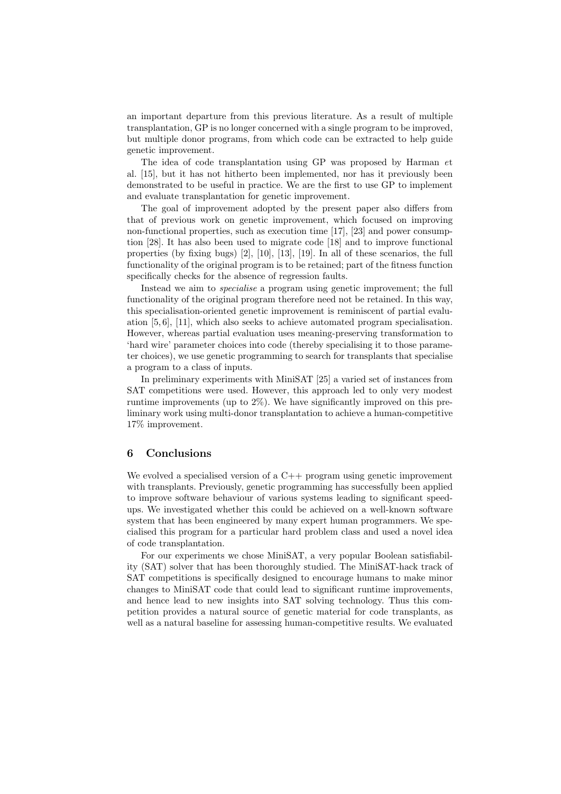an important departure from this previous literature. As a result of multiple transplantation, GP is no longer concerned with a single program to be improved, but multiple donor programs, from which code can be extracted to help guide genetic improvement.

The idea of code transplantation using GP was proposed by Harman et al. [15], but it has not hitherto been implemented, nor has it previously been demonstrated to be useful in practice. We are the first to use GP to implement and evaluate transplantation for genetic improvement.

The goal of improvement adopted by the present paper also differs from that of previous work on genetic improvement, which focused on improving non-functional properties, such as execution time [17], [23] and power consumption [28]. It has also been used to migrate code [18] and to improve functional properties (by fixing bugs) [2], [10], [13], [19]. In all of these scenarios, the full functionality of the original program is to be retained; part of the fitness function specifically checks for the absence of regression faults.

Instead we aim to specialise a program using genetic improvement; the full functionality of the original program therefore need not be retained. In this way, this specialisation-oriented genetic improvement is reminiscent of partial evaluation [5, 6], [11], which also seeks to achieve automated program specialisation. However, whereas partial evaluation uses meaning-preserving transformation to 'hard wire' parameter choices into code (thereby specialising it to those parameter choices), we use genetic programming to search for transplants that specialise a program to a class of inputs.

In preliminary experiments with MiniSAT [25] a varied set of instances from SAT competitions were used. However, this approach led to only very modest runtime improvements (up to 2%). We have significantly improved on this preliminary work using multi-donor transplantation to achieve a human-competitive 17% improvement.

#### 6 Conclusions

We evolved a specialised version of a  $C_{++}$  program using genetic improvement with transplants. Previously, genetic programming has successfully been applied to improve software behaviour of various systems leading to significant speedups. We investigated whether this could be achieved on a well-known software system that has been engineered by many expert human programmers. We specialised this program for a particular hard problem class and used a novel idea of code transplantation.

For our experiments we chose MiniSAT, a very popular Boolean satisfiability (SAT) solver that has been thoroughly studied. The MiniSAT-hack track of SAT competitions is specifically designed to encourage humans to make minor changes to MiniSAT code that could lead to significant runtime improvements, and hence lead to new insights into SAT solving technology. Thus this competition provides a natural source of genetic material for code transplants, as well as a natural baseline for assessing human-competitive results. We evaluated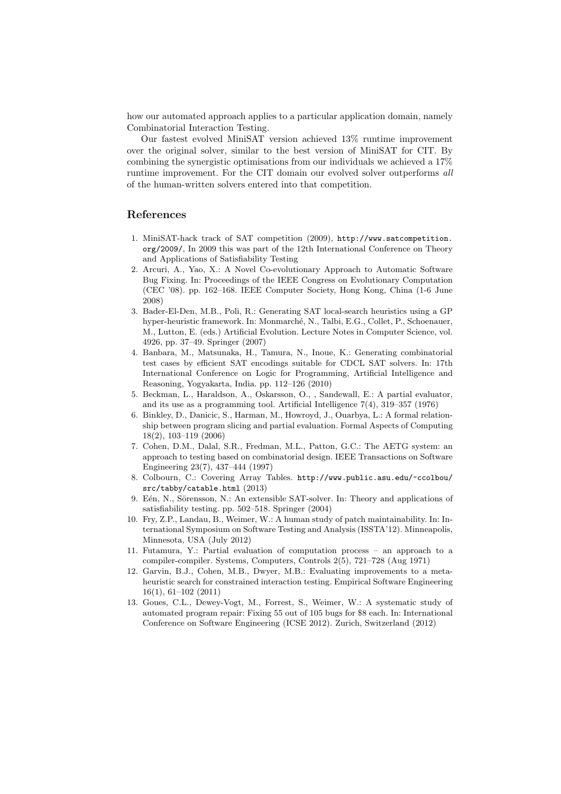how our automated approach applies to a particular application domain, namely Combinatorial Interaction Testing.

Our fastest evolved MiniSAT version achieved 13% runtime improvement over the original solver, similar to the best version of MiniSAT for CIT. By combining the synergistic optimisations from our individuals we achieved a 17% runtime improvement. For the CIT domain our evolved solver outperforms all of the human-written solvers entered into that competition.

# References

- 1. MiniSAT-hack track of SAT competition (2009), http://www.satcompetition. org/2009/, In 2009 this was part of the 12th International Conference on Theory and Applications of Satisfiability Testing
- 2. Arcuri, A., Yao, X.: A Novel Co-evolutionary Approach to Automatic Software Bug Fixing. In: Proceedings of the IEEE Congress on Evolutionary Computation (CEC '08). pp. 162–168. IEEE Computer Society, Hong Kong, China (1-6 June 2008)
- 3. Bader-El-Den, M.B., Poli, R.: Generating SAT local-search heuristics using a GP hyper-heuristic framework. In: Monmarché, N., Talbi, E.G., Collet, P., Schoenauer, M., Lutton, E. (eds.) Artificial Evolution. Lecture Notes in Computer Science, vol. 4926, pp. 37–49. Springer (2007)
- 4. Banbara, M., Matsunaka, H., Tamura, N., Inoue, K.: Generating combinatorial test cases by efficient SAT encodings suitable for CDCL SAT solvers. In: 17th International Conference on Logic for Programming, Artificial Intelligence and Reasoning, Yogyakarta, India. pp. 112–126 (2010)
- 5. Beckman, L., Haraldson, A., Oskarsson, O., , Sandewall, E.: A partial evaluator, and its use as a programming tool. Artificial Intelligence 7(4), 319–357 (1976)
- 6. Binkley, D., Danicic, S., Harman, M., Howroyd, J., Ouarbya, L.: A formal relationship between program slicing and partial evaluation. Formal Aspects of Computing 18(2), 103–119 (2006)
- 7. Cohen, D.M., Dalal, S.R., Fredman, M.L., Patton, G.C.: The AETG system: an approach to testing based on combinatorial design. IEEE Transactions on Software Engineering 23(7), 437–444 (1997)
- 8. Colbourn, C.: Covering Array Tables. http://www.public.asu.edu/~ccolbou/ src/tabby/catable.html (2013)
- 9. Eén, N., Sörensson, N.: An extensible SAT-solver. In: Theory and applications of satisfiability testing. pp. 502–518. Springer (2004)
- 10. Fry, Z.P., Landau, B., Weimer, W.: A human study of patch maintainability. In: International Symposium on Software Testing and Analysis (ISSTA'12). Minneapolis, Minnesota, USA (July 2012)
- 11. Futamura, Y.: Partial evaluation of computation process an approach to a compiler-compiler. Systems, Computers, Controls 2(5), 721–728 (Aug 1971)
- 12. Garvin, B.J., Cohen, M.B., Dwyer, M.B.: Evaluating improvements to a metaheuristic search for constrained interaction testing. Empirical Software Engineering 16(1), 61–102 (2011)
- 13. Goues, C.L., Dewey-Vogt, M., Forrest, S., Weimer, W.: A systematic study of automated program repair: Fixing 55 out of 105 bugs for \$8 each. In: International Conference on Software Engineering (ICSE 2012). Zurich, Switzerland (2012)